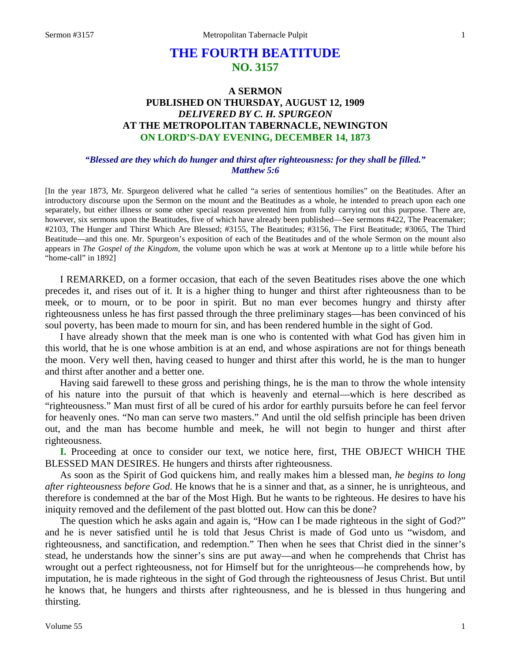# **THE FOURTH BEATITUDE NO. 3157**

## **A SERMON PUBLISHED ON THURSDAY, AUGUST 12, 1909** *DELIVERED BY C. H. SPURGEON* **AT THE METROPOLITAN TABERNACLE, NEWINGTON ON LORD'S-DAY EVENING, DECEMBER 14, 1873**

### *"Blessed are they which do hunger and thirst after righteousness: for they shall be filled." Matthew 5:6*

[In the year 1873, Mr. Spurgeon delivered what he called "a series of sententious homilies" on the Beatitudes. After an introductory discourse upon the Sermon on the mount and the Beatitudes as a whole, he intended to preach upon each one separately, but either illness or some other special reason prevented him from fully carrying out this purpose. There are, however, six sermons upon the Beatitudes, five of which have already been published—See sermons #422, The Peacemaker; #2103, The Hunger and Thirst Which Are Blessed; #3155, The Beatitudes; #3156, The First Beatitude; #3065, The Third Beatitude—and this one. Mr. Spurgeon's exposition of each of the Beatitudes and of the whole Sermon on the mount also appears in *The Gospel of the Kingdom*, the volume upon which he was at work at Mentone up to a little while before his "home-call" in 1892]

I REMARKED, on a former occasion, that each of the seven Beatitudes rises above the one which precedes it, and rises out of it. It is a higher thing to hunger and thirst after righteousness than to be meek, or to mourn, or to be poor in spirit. But no man ever becomes hungry and thirsty after righteousness unless he has first passed through the three preliminary stages—has been convinced of his soul poverty, has been made to mourn for sin, and has been rendered humble in the sight of God.

I have already shown that the meek man is one who is contented with what God has given him in this world, that he is one whose ambition is at an end, and whose aspirations are not for things beneath the moon. Very well then, having ceased to hunger and thirst after this world, he is the man to hunger and thirst after another and a better one.

Having said farewell to these gross and perishing things, he is the man to throw the whole intensity of his nature into the pursuit of that which is heavenly and eternal—which is here described as "righteousness." Man must first of all be cured of his ardor for earthly pursuits before he can feel fervor for heavenly ones. "No man can serve two masters." And until the old selfish principle has been driven out, and the man has become humble and meek, he will not begin to hunger and thirst after righteousness.

**I.** Proceeding at once to consider our text, we notice here, first, THE OBJECT WHICH THE BLESSED MAN DESIRES. He hungers and thirsts after righteousness.

As soon as the Spirit of God quickens him, and really makes him a blessed man, *he begins to long after righteousness before God*. He knows that he is a sinner and that, as a sinner, he is unrighteous, and therefore is condemned at the bar of the Most High. But he wants to be righteous. He desires to have his iniquity removed and the defilement of the past blotted out. How can this be done?

The question which he asks again and again is, "How can I be made righteous in the sight of God?" and he is never satisfied until he is told that Jesus Christ is made of God unto us "wisdom, and righteousness, and sanctification, and redemption." Then when he sees that Christ died in the sinner's stead, he understands how the sinner's sins are put away—and when he comprehends that Christ has wrought out a perfect righteousness, not for Himself but for the unrighteous—he comprehends how, by imputation, he is made righteous in the sight of God through the righteousness of Jesus Christ. But until he knows that, he hungers and thirsts after righteousness, and he is blessed in thus hungering and thirsting.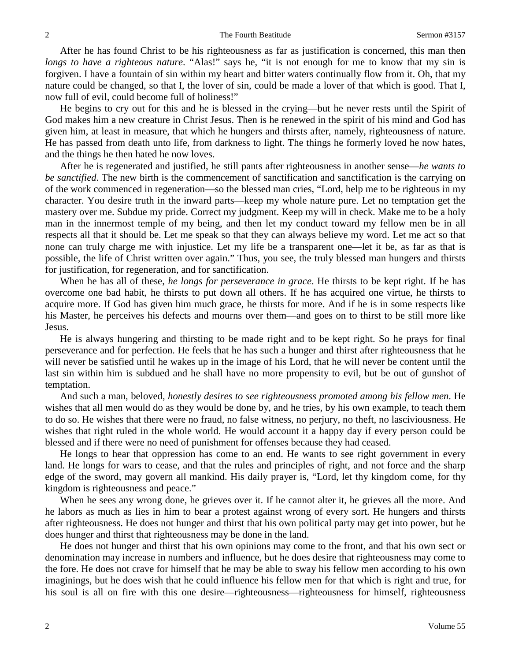After he has found Christ to be his righteousness as far as justification is concerned, this man then *longs to have a righteous nature.* "Alas!" says he, "it is not enough for me to know that my sin is forgiven. I have a fountain of sin within my heart and bitter waters continually flow from it. Oh, that my nature could be changed, so that I, the lover of sin, could be made a lover of that which is good. That I, now full of evil, could become full of holiness!"

He begins to cry out for this and he is blessed in the crying—but he never rests until the Spirit of God makes him a new creature in Christ Jesus. Then is he renewed in the spirit of his mind and God has given him, at least in measure, that which he hungers and thirsts after, namely, righteousness of nature. He has passed from death unto life, from darkness to light. The things he formerly loved he now hates, and the things he then hated he now loves.

After he is regenerated and justified, he still pants after righteousness in another sense—*he wants to be sanctified*. The new birth is the commencement of sanctification and sanctification is the carrying on of the work commenced in regeneration—so the blessed man cries, "Lord, help me to be righteous in my character. You desire truth in the inward parts—keep my whole nature pure. Let no temptation get the mastery over me. Subdue my pride. Correct my judgment. Keep my will in check. Make me to be a holy man in the innermost temple of my being, and then let my conduct toward my fellow men be in all respects all that it should be. Let me speak so that they can always believe my word. Let me act so that none can truly charge me with injustice. Let my life be a transparent one—let it be, as far as that is possible, the life of Christ written over again." Thus, you see, the truly blessed man hungers and thirsts for justification, for regeneration, and for sanctification.

When he has all of these, *he longs for perseverance in grace*. He thirsts to be kept right. If he has overcome one bad habit, he thirsts to put down all others. If he has acquired one virtue, he thirsts to acquire more. If God has given him much grace, he thirsts for more. And if he is in some respects like his Master, he perceives his defects and mourns over them—and goes on to thirst to be still more like Jesus.

He is always hungering and thirsting to be made right and to be kept right. So he prays for final perseverance and for perfection. He feels that he has such a hunger and thirst after righteousness that he will never be satisfied until he wakes up in the image of his Lord, that he will never be content until the last sin within him is subdued and he shall have no more propensity to evil, but be out of gunshot of temptation.

And such a man, beloved, *honestly desires to see righteousness promoted among his fellow men*. He wishes that all men would do as they would be done by, and he tries, by his own example, to teach them to do so. He wishes that there were no fraud, no false witness, no perjury, no theft, no lasciviousness. He wishes that right ruled in the whole world. He would account it a happy day if every person could be blessed and if there were no need of punishment for offenses because they had ceased.

He longs to hear that oppression has come to an end. He wants to see right government in every land. He longs for wars to cease, and that the rules and principles of right, and not force and the sharp edge of the sword, may govern all mankind. His daily prayer is, "Lord, let thy kingdom come, for thy kingdom is righteousness and peace."

When he sees any wrong done, he grieves over it. If he cannot alter it, he grieves all the more. And he labors as much as lies in him to bear a protest against wrong of every sort. He hungers and thirsts after righteousness. He does not hunger and thirst that his own political party may get into power, but he does hunger and thirst that righteousness may be done in the land.

He does not hunger and thirst that his own opinions may come to the front, and that his own sect or denomination may increase in numbers and influence, but he does desire that righteousness may come to the fore. He does not crave for himself that he may be able to sway his fellow men according to his own imaginings, but he does wish that he could influence his fellow men for that which is right and true, for his soul is all on fire with this one desire—righteousness—righteousness for himself, righteousness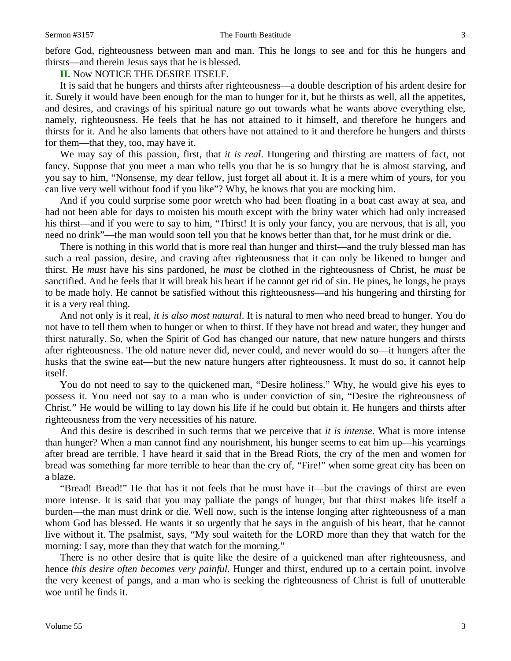before God, righteousness between man and man. This he longs to see and for this he hungers and thirsts—and therein Jesus says that he is blessed.

## **II.** Now NOTICE THE DESIRE ITSELF.

It is said that he hungers and thirsts after righteousness—a double description of his ardent desire for it. Surely it would have been enough for the man to hunger for it, but he thirsts as well, all the appetites, and desires, and cravings of his spiritual nature go out towards what he wants above everything else, namely, righteousness. He feels that he has not attained to it himself, and therefore he hungers and thirsts for it. And he also laments that others have not attained to it and therefore he hungers and thirsts for them—that they, too, may have it.

We may say of this passion, first, that *it is real*. Hungering and thirsting are matters of fact, not fancy. Suppose that you meet a man who tells you that he is so hungry that he is almost starving, and you say to him, "Nonsense, my dear fellow, just forget all about it. It is a mere whim of yours, for you can live very well without food if you like"? Why, he knows that you are mocking him.

And if you could surprise some poor wretch who had been floating in a boat cast away at sea, and had not been able for days to moisten his mouth except with the briny water which had only increased his thirst—and if you were to say to him, "Thirst! It is only your fancy, you are nervous, that is all, you need no drink"—the man would soon tell you that he knows better than that, for he must drink or die.

There is nothing in this world that is more real than hunger and thirst—and the truly blessed man has such a real passion, desire, and craving after righteousness that it can only be likened to hunger and thirst. He *must* have his sins pardoned, he *must* be clothed in the righteousness of Christ, he *must* be sanctified. And he feels that it will break his heart if he cannot get rid of sin. He pines, he longs, he prays to be made holy. He cannot be satisfied without this righteousness—and his hungering and thirsting for it is a very real thing.

And not only is it real, *it is also most natural*. It is natural to men who need bread to hunger. You do not have to tell them when to hunger or when to thirst. If they have not bread and water, they hunger and thirst naturally. So, when the Spirit of God has changed our nature, that new nature hungers and thirsts after righteousness. The old nature never did, never could, and never would do so—it hungers after the husks that the swine eat—but the new nature hungers after righteousness. It must do so, it cannot help itself.

You do not need to say to the quickened man, "Desire holiness." Why, he would give his eyes to possess it. You need not say to a man who is under conviction of sin, "Desire the righteousness of Christ." He would be willing to lay down his life if he could but obtain it. He hungers and thirsts after righteousness from the very necessities of his nature.

And this desire is described in such terms that we perceive that *it is intense*. What is more intense than hunger? When a man cannot find any nourishment, his hunger seems to eat him up—his yearnings after bread are terrible. I have heard it said that in the Bread Riots, the cry of the men and women for bread was something far more terrible to hear than the cry of, "Fire!" when some great city has been on a blaze.

"Bread! Bread!" He that has it not feels that he must have it—but the cravings of thirst are even more intense. It is said that you may palliate the pangs of hunger, but that thirst makes life itself a burden—the man must drink or die. Well now, such is the intense longing after righteousness of a man whom God has blessed. He wants it so urgently that he says in the anguish of his heart, that he cannot live without it. The psalmist, says, "My soul waiteth for the LORD more than they that watch for the morning: I say, more than they that watch for the morning."

There is no other desire that is quite like the desire of a quickened man after righteousness, and hence *this desire often becomes very painful*. Hunger and thirst, endured up to a certain point, involve the very keenest of pangs, and a man who is seeking the righteousness of Christ is full of unutterable woe until he finds it.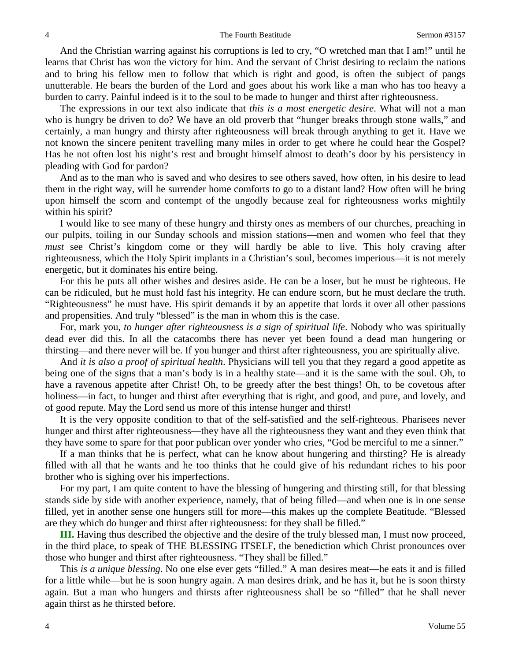And the Christian warring against his corruptions is led to cry, "O wretched man that I am!" until he learns that Christ has won the victory for him. And the servant of Christ desiring to reclaim the nations and to bring his fellow men to follow that which is right and good, is often the subject of pangs unutterable. He bears the burden of the Lord and goes about his work like a man who has too heavy a burden to carry. Painful indeed is it to the soul to be made to hunger and thirst after righteousness.

The expressions in our text also indicate that *this is a most energetic desire*. What will not a man who is hungry be driven to do? We have an old proverb that "hunger breaks through stone walls," and certainly, a man hungry and thirsty after righteousness will break through anything to get it. Have we not known the sincere penitent travelling many miles in order to get where he could hear the Gospel? Has he not often lost his night's rest and brought himself almost to death's door by his persistency in pleading with God for pardon?

And as to the man who is saved and who desires to see others saved, how often, in his desire to lead them in the right way, will he surrender home comforts to go to a distant land? How often will he bring upon himself the scorn and contempt of the ungodly because zeal for righteousness works mightily within his spirit?

I would like to see many of these hungry and thirsty ones as members of our churches, preaching in our pulpits, toiling in our Sunday schools and mission stations—men and women who feel that they *must* see Christ's kingdom come or they will hardly be able to live. This holy craving after righteousness, which the Holy Spirit implants in a Christian's soul, becomes imperious—it is not merely energetic, but it dominates his entire being.

For this he puts all other wishes and desires aside. He can be a loser, but he must be righteous. He can be ridiculed, but he must hold fast his integrity. He can endure scorn, but he must declare the truth. "Righteousness" he must have. His spirit demands it by an appetite that lords it over all other passions and propensities. And truly "blessed" is the man in whom this is the case.

For, mark you, *to hunger after righteousness is a sign of spiritual life*. Nobody who was spiritually dead ever did this. In all the catacombs there has never yet been found a dead man hungering or thirsting—and there never will be. If you hunger and thirst after righteousness, you are spiritually alive.

And *it is also a proof of spiritual health*. Physicians will tell you that they regard a good appetite as being one of the signs that a man's body is in a healthy state—and it is the same with the soul. Oh, to have a ravenous appetite after Christ! Oh, to be greedy after the best things! Oh, to be covetous after holiness—in fact, to hunger and thirst after everything that is right, and good, and pure, and lovely, and of good repute. May the Lord send us more of this intense hunger and thirst!

It is the very opposite condition to that of the self-satisfied and the self-righteous. Pharisees never hunger and thirst after righteousness—they have all the righteousness they want and they even think that they have some to spare for that poor publican over yonder who cries, "God be merciful to me a sinner."

If a man thinks that he is perfect, what can he know about hungering and thirsting? He is already filled with all that he wants and he too thinks that he could give of his redundant riches to his poor brother who is sighing over his imperfections.

For my part, I am quite content to have the blessing of hungering and thirsting still, for that blessing stands side by side with another experience, namely, that of being filled—and when one is in one sense filled, yet in another sense one hungers still for more—this makes up the complete Beatitude. "Blessed are they which do hunger and thirst after righteousness: for they shall be filled."

**III.** Having thus described the objective and the desire of the truly blessed man, I must now proceed, in the third place, to speak of THE BLESSING ITSELF, the benediction which Christ pronounces over those who hunger and thirst after righteousness. "They shall be filled."

This *is a unique blessing*. No one else ever gets "filled." A man desires meat—he eats it and is filled for a little while—but he is soon hungry again. A man desires drink, and he has it, but he is soon thirsty again. But a man who hungers and thirsts after righteousness shall be so "filled" that he shall never again thirst as he thirsted before.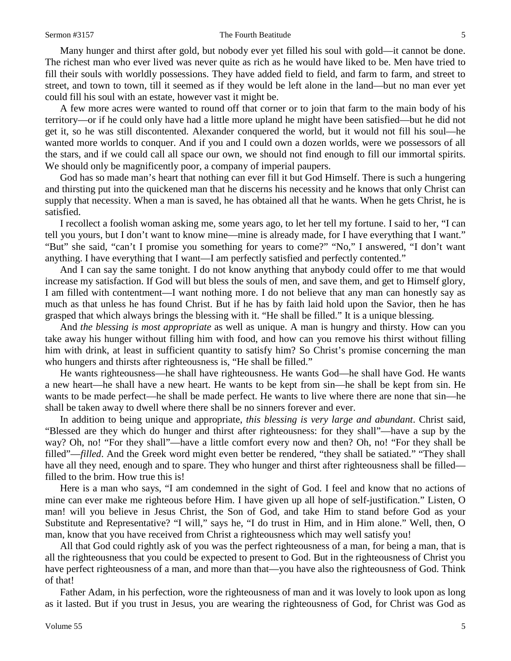#### Sermon #3157 The Fourth Beatitude 5

Many hunger and thirst after gold, but nobody ever yet filled his soul with gold—it cannot be done. The richest man who ever lived was never quite as rich as he would have liked to be. Men have tried to fill their souls with worldly possessions. They have added field to field, and farm to farm, and street to street, and town to town, till it seemed as if they would be left alone in the land—but no man ever yet could fill his soul with an estate, however vast it might be.

A few more acres were wanted to round off that corner or to join that farm to the main body of his territory—or if he could only have had a little more upland he might have been satisfied—but he did not get it, so he was still discontented. Alexander conquered the world, but it would not fill his soul—he wanted more worlds to conquer. And if you and I could own a dozen worlds, were we possessors of all the stars, and if we could call all space our own, we should not find enough to fill our immortal spirits. We should only be magnificently poor, a company of imperial paupers.

God has so made man's heart that nothing can ever fill it but God Himself. There is such a hungering and thirsting put into the quickened man that he discerns his necessity and he knows that only Christ can supply that necessity. When a man is saved, he has obtained all that he wants. When he gets Christ, he is satisfied.

I recollect a foolish woman asking me, some years ago, to let her tell my fortune. I said to her, "I can tell you yours, but I don't want to know mine—mine is already made, for I have everything that I want." "But" she said, "can't I promise you something for years to come?" "No," I answered, "I don't want anything. I have everything that I want—I am perfectly satisfied and perfectly contented."

And I can say the same tonight. I do not know anything that anybody could offer to me that would increase my satisfaction. If God will but bless the souls of men, and save them, and get to Himself glory, I am filled with contentment—I want nothing more. I do not believe that any man can honestly say as much as that unless he has found Christ. But if he has by faith laid hold upon the Savior, then he has grasped that which always brings the blessing with it. "He shall be filled." It is a unique blessing.

And *the blessing is most appropriate* as well as unique. A man is hungry and thirsty. How can you take away his hunger without filling him with food, and how can you remove his thirst without filling him with drink, at least in sufficient quantity to satisfy him? So Christ's promise concerning the man who hungers and thirsts after righteousness is, "He shall be filled."

He wants righteousness—he shall have righteousness. He wants God—he shall have God. He wants a new heart—he shall have a new heart. He wants to be kept from sin—he shall be kept from sin. He wants to be made perfect—he shall be made perfect. He wants to live where there are none that sin—he shall be taken away to dwell where there shall be no sinners forever and ever.

In addition to being unique and appropriate, *this blessing is very large and abundant*. Christ said, "Blessed are they which do hunger and thirst after righteousness: for they shall"—have a sup by the way? Oh, no! "For they shall"—have a little comfort every now and then? Oh, no! "For they shall be filled"—*filled*. And the Greek word might even better be rendered, "they shall be satiated." "They shall have all they need, enough and to spare. They who hunger and thirst after righteousness shall be filled filled to the brim. How true this is!

Here is a man who says, "I am condemned in the sight of God. I feel and know that no actions of mine can ever make me righteous before Him. I have given up all hope of self-justification." Listen, O man! will you believe in Jesus Christ, the Son of God, and take Him to stand before God as your Substitute and Representative? "I will," says he, "I do trust in Him, and in Him alone." Well, then, O man, know that you have received from Christ a righteousness which may well satisfy you!

All that God could rightly ask of you was the perfect righteousness of a man, for being a man, that is all the righteousness that you could be expected to present to God. But in the righteousness of Christ you have perfect righteousness of a man, and more than that—you have also the righteousness of God. Think of that!

Father Adam, in his perfection, wore the righteousness of man and it was lovely to look upon as long as it lasted. But if you trust in Jesus, you are wearing the righteousness of God, for Christ was God as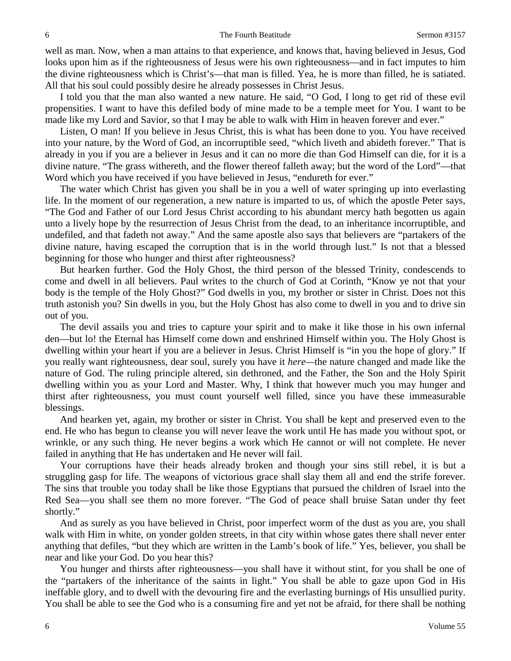well as man. Now, when a man attains to that experience, and knows that, having believed in Jesus, God looks upon him as if the righteousness of Jesus were his own righteousness—and in fact imputes to him the divine righteousness which is Christ's—that man is filled. Yea, he is more than filled, he is satiated. All that his soul could possibly desire he already possesses in Christ Jesus.

I told you that the man also wanted a new nature. He said, "O God, I long to get rid of these evil propensities. I want to have this defiled body of mine made to be a temple meet for You. I want to be made like my Lord and Savior, so that I may be able to walk with Him in heaven forever and ever."

Listen, O man! If you believe in Jesus Christ, this is what has been done to you. You have received into your nature, by the Word of God, an incorruptible seed, "which liveth and abideth forever." That is already in you if you are a believer in Jesus and it can no more die than God Himself can die, for it is a divine nature. "The grass withereth, and the flower thereof falleth away; but the word of the Lord"—that Word which you have received if you have believed in Jesus, "endureth for ever."

The water which Christ has given you shall be in you a well of water springing up into everlasting life. In the moment of our regeneration, a new nature is imparted to us, of which the apostle Peter says, "The God and Father of our Lord Jesus Christ according to his abundant mercy hath begotten us again unto a lively hope by the resurrection of Jesus Christ from the dead, to an inheritance incorruptible, and undefiled, and that fadeth not away." And the same apostle also says that believers are "partakers of the divine nature, having escaped the corruption that is in the world through lust." Is not that a blessed beginning for those who hunger and thirst after righteousness?

But hearken further. God the Holy Ghost, the third person of the blessed Trinity, condescends to come and dwell in all believers. Paul writes to the church of God at Corinth, "Know ye not that your body is the temple of the Holy Ghost?" God dwells in you, my brother or sister in Christ. Does not this truth astonish you? Sin dwells in you, but the Holy Ghost has also come to dwell in you and to drive sin out of you.

The devil assails you and tries to capture your spirit and to make it like those in his own infernal den—but lo! the Eternal has Himself come down and enshrined Himself within you. The Holy Ghost is dwelling within your heart if you are a believer in Jesus. Christ Himself is "in you the hope of glory." If you really want righteousness, dear soul, surely you have it *here—*the nature changed and made like the nature of God. The ruling principle altered, sin dethroned, and the Father, the Son and the Holy Spirit dwelling within you as your Lord and Master. Why, I think that however much you may hunger and thirst after righteousness, you must count yourself well filled, since you have these immeasurable blessings.

And hearken yet, again, my brother or sister in Christ. You shall be kept and preserved even to the end. He who has begun to cleanse you will never leave the work until He has made you without spot, or wrinkle, or any such thing. He never begins a work which He cannot or will not complete. He never failed in anything that He has undertaken and He never will fail.

Your corruptions have their heads already broken and though your sins still rebel, it is but a struggling gasp for life. The weapons of victorious grace shall slay them all and end the strife forever. The sins that trouble you today shall be like those Egyptians that pursued the children of Israel into the Red Sea—you shall see them no more forever. "The God of peace shall bruise Satan under thy feet shortly."

And as surely as you have believed in Christ, poor imperfect worm of the dust as you are, you shall walk with Him in white, on yonder golden streets, in that city within whose gates there shall never enter anything that defiles, "but they which are written in the Lamb's book of life." Yes, believer, you shall be near and like your God. Do you hear this?

You hunger and thirsts after righteousness—you shall have it without stint, for you shall be one of the "partakers of the inheritance of the saints in light." You shall be able to gaze upon God in His ineffable glory, and to dwell with the devouring fire and the everlasting burnings of His unsullied purity. You shall be able to see the God who is a consuming fire and yet not be afraid, for there shall be nothing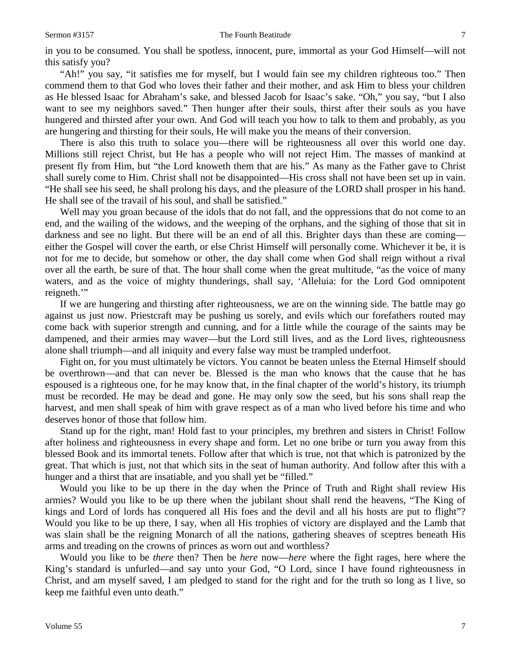#### Sermon #3157 The Fourth Beatitude 7

in you to be consumed. You shall be spotless, innocent, pure, immortal as your God Himself—will not this satisfy you?

"Ah!" you say, "it satisfies me for myself, but I would fain see my children righteous too." Then commend them to that God who loves their father and their mother, and ask Him to bless your children as He blessed Isaac for Abraham's sake, and blessed Jacob for Isaac's sake. "Oh," you say, "but I also want to see my neighbors saved." Then hunger after their souls, thirst after their souls as you have hungered and thirsted after your own. And God will teach you how to talk to them and probably, as you are hungering and thirsting for their souls, He will make you the means of their conversion.

There is also this truth to solace you—there will be righteousness all over this world one day. Millions still reject Christ, but He has a people who will not reject Him. The masses of mankind at present fly from Him, but "the Lord knoweth them that are his." As many as the Father gave to Christ shall surely come to Him. Christ shall not be disappointed—His cross shall not have been set up in vain. "He shall see his seed, he shall prolong his days, and the pleasure of the LORD shall prosper in his hand. He shall see of the travail of his soul, and shall be satisfied."

Well may you groan because of the idols that do not fall, and the oppressions that do not come to an end, and the wailing of the widows, and the weeping of the orphans, and the sighing of those that sit in darkness and see no light. But there will be an end of all this. Brighter days than these are coming either the Gospel will cover the earth, or else Christ Himself will personally come. Whichever it be, it is not for me to decide, but somehow or other, the day shall come when God shall reign without a rival over all the earth, be sure of that. The hour shall come when the great multitude, "as the voice of many waters, and as the voice of mighty thunderings, shall say, 'Alleluia: for the Lord God omnipotent reigneth.'"

If we are hungering and thirsting after righteousness, we are on the winning side. The battle may go against us just now. Priestcraft may be pushing us sorely, and evils which our forefathers routed may come back with superior strength and cunning, and for a little while the courage of the saints may be dampened, and their armies may waver—but the Lord still lives, and as the Lord lives, righteousness alone shall triumph—and all iniquity and every false way must be trampled underfoot.

Fight on, for you must ultimately be victors. You cannot be beaten unless the Eternal Himself should be overthrown—and that can never be. Blessed is the man who knows that the cause that he has espoused is a righteous one, for he may know that, in the final chapter of the world's history, its triumph must be recorded. He may be dead and gone. He may only sow the seed, but his sons shall reap the harvest, and men shall speak of him with grave respect as of a man who lived before his time and who deserves honor of those that follow him.

Stand up for the right, man! Hold fast to your principles, my brethren and sisters in Christ! Follow after holiness and righteousness in every shape and form. Let no one bribe or turn you away from this blessed Book and its immortal tenets. Follow after that which is true, not that which is patronized by the great. That which is just, not that which sits in the seat of human authority. And follow after this with a hunger and a thirst that are insatiable, and you shall yet be "filled."

Would you like to be up there in the day when the Prince of Truth and Right shall review His armies? Would you like to be up there when the jubilant shout shall rend the heavens, "The King of kings and Lord of lords has conquered all His foes and the devil and all his hosts are put to flight"? Would you like to be up there, I say, when all His trophies of victory are displayed and the Lamb that was slain shall be the reigning Monarch of all the nations, gathering sheaves of sceptres beneath His arms and treading on the crowns of princes as worn out and worthless?

Would you like to be *there* then? Then be *here* now—*here* where the fight rages, here where the King's standard is unfurled—and say unto your God, "O Lord, since I have found righteousness in Christ, and am myself saved, I am pledged to stand for the right and for the truth so long as I live, so keep me faithful even unto death."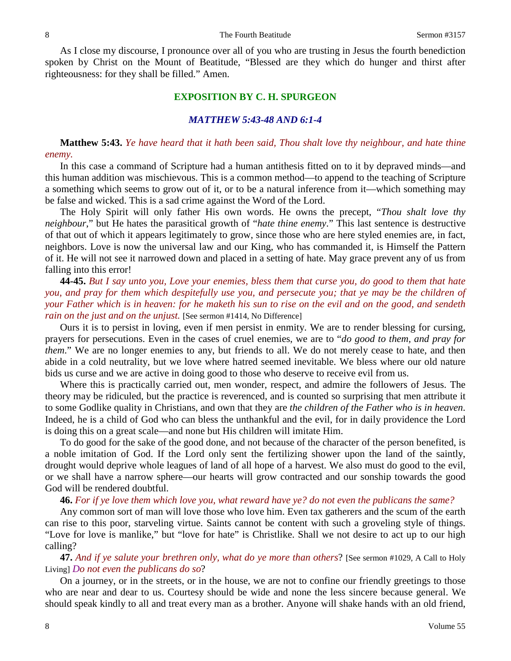As I close my discourse, I pronounce over all of you who are trusting in Jesus the fourth benediction spoken by Christ on the Mount of Beatitude, "Blessed are they which do hunger and thirst after righteousness: for they shall be filled." Amen.

## **EXPOSITION BY C. H. SPURGEON**

### *MATTHEW 5:43-48 AND 6:1-4*

**Matthew 5:43.** *Ye have heard that it hath been said, Thou shalt love thy neighbour, and hate thine enemy.*

In this case a command of Scripture had a human antithesis fitted on to it by depraved minds—and this human addition was mischievous. This is a common method—to append to the teaching of Scripture a something which seems to grow out of it, or to be a natural inference from it—which something may be false and wicked. This is a sad crime against the Word of the Lord.

The Holy Spirit will only father His own words. He owns the precept, "*Thou shalt love thy neighbour*," but He hates the parasitical growth of "*hate thine enemy*." This last sentence is destructive of that out of which it appears legitimately to grow, since those who are here styled enemies are, in fact, neighbors. Love is now the universal law and our King, who has commanded it, is Himself the Pattern of it. He will not see it narrowed down and placed in a setting of hate. May grace prevent any of us from falling into this error!

**44-45.** *But I say unto you, Love your enemies, bless them that curse you, do good to them that hate you, and pray for them which despitefully use you, and persecute you; that ye may be the children of your Father which is in heaven: for he maketh his sun to rise on the evil and on the good, and sendeth rain on the just and on the unjust.* [See sermon #1414, No Difference]

Ours it is to persist in loving, even if men persist in enmity. We are to render blessing for cursing, prayers for persecutions. Even in the cases of cruel enemies, we are to "*do good to them, and pray for them.*" We are no longer enemies to any, but friends to all. We do not merely cease to hate, and then abide in a cold neutrality, but we love where hatred seemed inevitable. We bless where our old nature bids us curse and we are active in doing good to those who deserve to receive evil from us.

Where this is practically carried out, men wonder, respect, and admire the followers of Jesus. The theory may be ridiculed, but the practice is reverenced, and is counted so surprising that men attribute it to some Godlike quality in Christians, and own that they are *the children of the Father who is in heaven*. Indeed, he is a child of God who can bless the unthankful and the evil, for in daily providence the Lord is doing this on a great scale—and none but His children will imitate Him.

To do good for the sake of the good done, and not because of the character of the person benefited, is a noble imitation of God. If the Lord only sent the fertilizing shower upon the land of the saintly, drought would deprive whole leagues of land of all hope of a harvest. We also must do good to the evil, or we shall have a narrow sphere—our hearts will grow contracted and our sonship towards the good God will be rendered doubtful.

### **46.** *For if ye love them which love you, what reward have ye? do not even the publicans the same?*

Any common sort of man will love those who love him. Even tax gatherers and the scum of the earth can rise to this poor, starveling virtue. Saints cannot be content with such a groveling style of things. "Love for love is manlike," but "love for hate" is Christlike. Shall we not desire to act up to our high calling?

**47.** *And if ye salute your brethren only, what do ye more than others*? [See sermon #1029, A Call to Holy Living] *Do not even the publicans do so*?

On a journey, or in the streets, or in the house, we are not to confine our friendly greetings to those who are near and dear to us. Courtesy should be wide and none the less sincere because general. We should speak kindly to all and treat every man as a brother. Anyone will shake hands with an old friend,